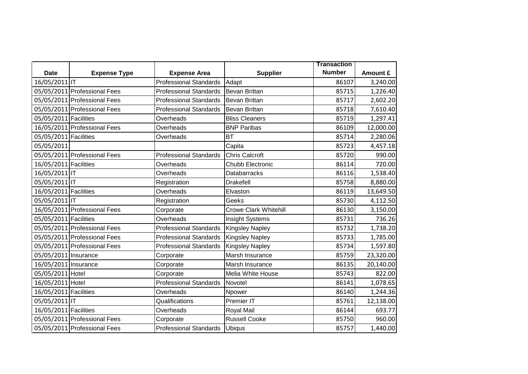|                       |                              |                               |                              | <b>Transaction</b> |           |
|-----------------------|------------------------------|-------------------------------|------------------------------|--------------------|-----------|
| <b>Date</b>           | <b>Expense Type</b>          | <b>Expense Area</b>           | <b>Supplier</b>              | <b>Number</b>      | Amount £  |
| 16/05/2011 IT         |                              | <b>Professional Standards</b> | Adapt                        | 86107              | 3,240.00  |
|                       | 05/05/2011 Professional Fees | <b>Professional Standards</b> | <b>Bevan Brittan</b>         | 85715              | 1,226.40  |
|                       | 05/05/2011 Professional Fees | <b>Professional Standards</b> | <b>Bevan Brittan</b>         | 85717              | 2,602.20  |
|                       | 05/05/2011 Professional Fees | <b>Professional Standards</b> | <b>Bevan Brittan</b>         | 85718              | 7,610.40  |
| 05/05/2011 Facilities |                              | Overheads                     | <b>Bliss Cleaners</b>        | 85719              | 1,297.41  |
|                       | 16/05/2011 Professional Fees | Overheads                     | <b>BNP Paribas</b>           | 86109              | 12,000.00 |
| 05/05/2011 Facilities |                              | Overheads                     | <b>BT</b>                    | 85714              | 2,280.06  |
| 05/05/2011            |                              |                               | Capita                       | 85723              | 4,457.18  |
|                       | 05/05/2011 Professional Fees | <b>Professional Standards</b> | <b>Chris Calcroft</b>        | 85720              | 990.00    |
| 16/05/2011 Facilities |                              | Overheads                     | Chubb Electronic             | 86114              | 720.00    |
| 16/05/2011 IT         |                              | Overheads                     | <b>Databarracks</b>          | 86116              | 1,538.40  |
| 05/05/2011 IT         |                              | Registration                  | <b>Drakefell</b>             | 85758              | 8,880.00  |
| 16/05/2011 Facilities |                              | Overheads                     | Elvaston                     | 86119              | 13,649.50 |
| 05/05/2011 IT         |                              | Registration                  | Geeks                        | 85730              | 4,112.50  |
|                       | 16/05/2011 Professional Fees | Corporate                     | <b>Crowe Clark Whitehill</b> | 86130              | 3,150.00  |
| 05/05/2011 Facilities |                              | Overheads                     | Insight Systems              | 85731              | 736.26    |
|                       | 05/05/2011 Professional Fees | <b>Professional Standards</b> | <b>Kingsley Napley</b>       | 85732              | 1,738.20  |
|                       | 05/05/2011 Professional Fees | <b>Professional Standards</b> | <b>Kingsley Napley</b>       | 85733              | 1,785.00  |
|                       | 05/05/2011 Professional Fees | <b>Professional Standards</b> | <b>Kingsley Napley</b>       | 85734              | 1,597.80  |
| 05/05/2011 Insurance  |                              | Corporate                     | Marsh Insurance              | 85759              | 23,320.00 |
| 16/05/2011 Insurance  |                              | Corporate                     | Marsh Insurance              | 86135              | 20,140.00 |
| 05/05/2011 Hotel      |                              | Corporate                     | Melia White House            | 85743              | 822.00    |
| 16/05/2011 Hotel      |                              | <b>Professional Standards</b> | Novotel                      | 86141              | 1,078.65  |
| 16/05/2011 Facilities |                              | Overheads                     | Npower                       | 86140              | 1,244.36  |
| 05/05/2011 IT         |                              | Qualifications                | Premier IT                   | 85761              | 12,138.00 |
| 16/05/2011 Facilities |                              | Overheads                     | Royal Mail                   | 86144              | 693.77    |
|                       | 05/05/2011 Professional Fees | Corporate                     | <b>Russell Cooke</b>         | 85750              | 960.00    |
|                       | 05/05/2011 Professional Fees | <b>Professional Standards</b> | <b>Ubiqus</b>                | 85757              | 1,440.00  |